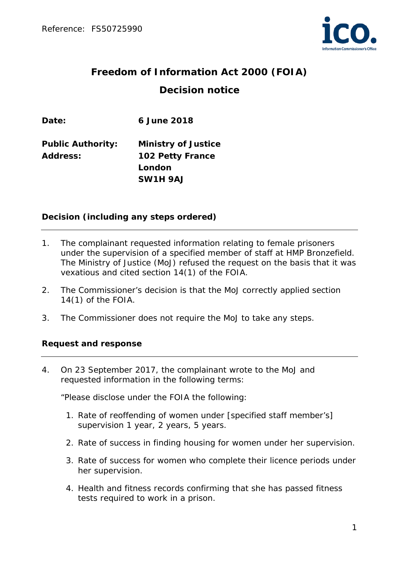

# **Freedom of Information Act 2000 (FOIA) Decision notice**

**Date: 6 June 2018**

**Public Authority: Ministry of Justice Address: 102 Petty France London SW1H 9AJ**

### **Decision (including any steps ordered)**

- 1. The complainant requested information relating to female prisoners under the supervision of a specified member of staff at HMP Bronzefield. The Ministry of Justice (MoJ) refused the request on the basis that it was vexatious and cited section 14(1) of the FOIA.
- 2. The Commissioner's decision is that the MoJ correctly applied section 14(1) of the FOIA.
- 3. The Commissioner does not require the MoJ to take any steps.

### **Request and response**

4. On 23 September 2017, the complainant wrote to the MoJ and requested information in the following terms:

*"Please disclose under the FOIA the following:*

- *1. Rate of reoffending of women under [specified staff member's] supervision 1 year, 2 years, 5 years.*
- *2. Rate of success in finding housing for women under her supervision.*
- *3. Rate of success for women who complete their licence periods under her supervision.*
- *4. Health and fitness records confirming that she has passed fitness tests required to work in a prison.*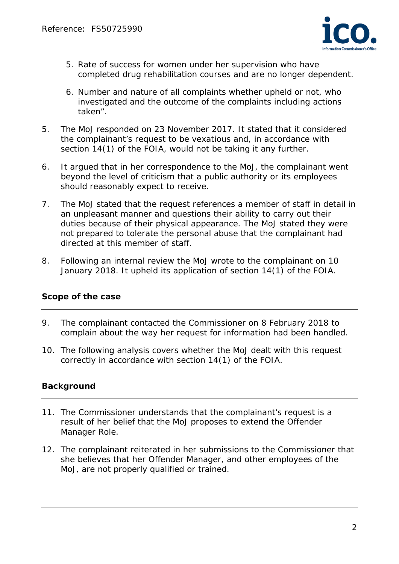

- *5. Rate of success for women under her supervision who have completed drug rehabilitation courses and are no longer dependent.*
- *6. Number and nature of all complaints whether upheld or not, who investigated and the outcome of the complaints including actions taken".*
- 5. The MoJ responded on 23 November 2017. It stated that it considered the complainant's request to be vexatious and, in accordance with section 14(1) of the FOIA, would not be taking it any further.
- 6. It argued that in her correspondence to the MoJ, the complainant went beyond the level of criticism that a public authority or its employees should reasonably expect to receive.
- 7. The MoJ stated that the request references a member of staff in detail in an unpleasant manner and questions their ability to carry out their duties because of their physical appearance. The MoJ stated they were not prepared to tolerate the personal abuse that the complainant had directed at this member of staff.
- 8. Following an internal review the MoJ wrote to the complainant on 10 January 2018. It upheld its application of section 14(1) of the FOIA.

## **Scope of the case**

- 9. The complainant contacted the Commissioner on 8 February 2018 to complain about the way her request for information had been handled.
- 10. The following analysis covers whether the MoJ dealt with this request correctly in accordance with section 14(1) of the FOIA.

## **Background**

- 11. The Commissioner understands that the complainant's request is a result of her belief that the MoJ proposes to extend the Offender Manager Role.
- 12. The complainant reiterated in her submissions to the Commissioner that she believes that her Offender Manager, and other employees of the MoJ, are not properly qualified or trained.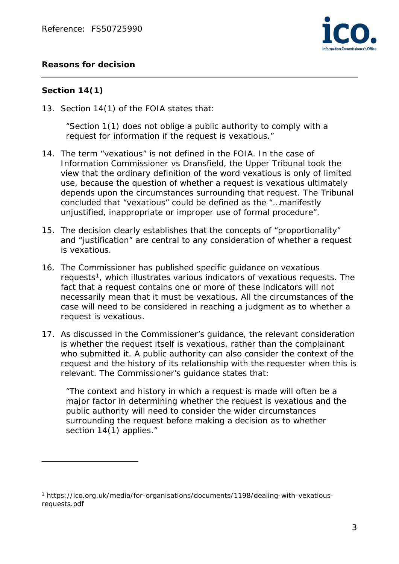## **Reasons for decision**



#### **Section 14(1)**

 $\overline{a}$ 

13. Section 14(1) of the FOIA states that:

*"Section 1(1) does not oblige a public authority to comply with a request for information if the request is vexatious."*

- 14. The term "vexatious" is not defined in the FOIA. In the case of Information Commissioner vs Dransfield, the Upper Tribunal took the view that the ordinary definition of the word vexatious is only of limited use, because the question of whether a request is vexatious ultimately depends upon the circumstances surrounding that request. The Tribunal concluded that "vexatious" could be defined as the "…manifestly unjustified, inappropriate or improper use of formal procedure".
- 15. The decision clearly establishes that the concepts of "proportionality" and "justification" are central to any consideration of whether a request is vexatious.
- 16. The Commissioner has published specific guidance on vexatious requests<sup>[1](#page-2-0)</sup>, which illustrates various indicators of vexatious requests. The fact that a request contains one or more of these indicators will not necessarily mean that it must be vexatious. All the circumstances of the case will need to be considered in reaching a judgment as to whether a request is vexatious.
- 17. As discussed in the Commissioner's guidance, the relevant consideration is whether the request itself is vexatious, rather than the complainant who submitted it. A public authority can also consider the context of the request and the history of its relationship with the requester when this is relevant. The Commissioner's guidance states that:

*"The context and history in which a request is made will often be a major factor in determining whether the request is vexatious and the public authority will need to consider the wider circumstances surrounding the request before making a decision as to whether section 14(1) applies."*

<span id="page-2-0"></span><sup>1</sup> https://ico.org.uk/media/for-organisations/documents/1198/dealing-with-vexatiousrequests.pdf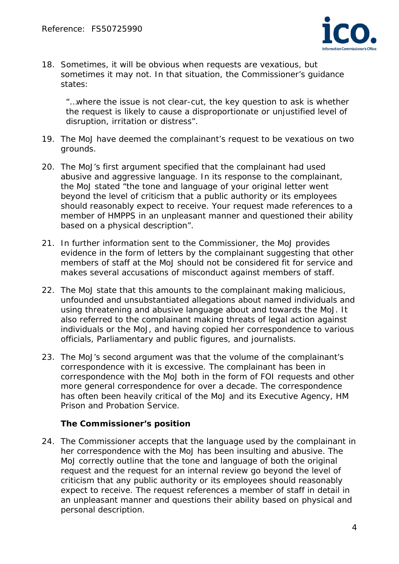

18. Sometimes, it will be obvious when requests are vexatious, but sometimes it may not. In that situation, the Commissioner's guidance states:

*"…where the issue is not clear-cut, the key question to ask is whether the request is likely to cause a disproportionate or unjustified level of disruption, irritation or distress".*

- 19. The MoJ have deemed the complainant's request to be vexatious on two grounds.
- 20. The MoJ's first argument specified that the complainant had used abusive and aggressive language*.* In its response to the complainant, the MoJ stated "*the tone and language of your original letter went beyond the level of criticism that a public authority or its employees should reasonably expect to receive. Your request made references to a member of HMPPS in an unpleasant manner and questioned their ability based on a physical description".*
- 21. In further information sent to the Commissioner, the MoJ provides evidence in the form of letters by the complainant suggesting that other members of staff at the MoJ should not be considered fit for service and makes several accusations of misconduct against members of staff.
- 22. The MoJ state that this amounts to the complainant making malicious, unfounded and unsubstantiated allegations about named individuals and using threatening and abusive language about and towards the MoJ. It also referred to the complainant making threats of legal action against individuals or the MoJ, and having copied her correspondence to various officials, Parliamentary and public figures, and journalists.
- 23. The MoJ's second argument was that the volume of the complainant's correspondence with it is excessive. The complainant has been in correspondence with the MoJ both in the form of FOI requests and other more general correspondence for over a decade. The correspondence has often been heavily critical of the MoJ and its Executive Agency, HM Prison and Probation Service.

### **The Commissioner's position**

24. The Commissioner accepts that the language used by the complainant in her correspondence with the MoJ has been insulting and abusive. The MoJ correctly outline that the tone and language of both the original request and the request for an internal review go beyond the level of criticism that any public authority or its employees should reasonably expect to receive. The request references a member of staff in detail in an unpleasant manner and questions their ability based on physical and personal description.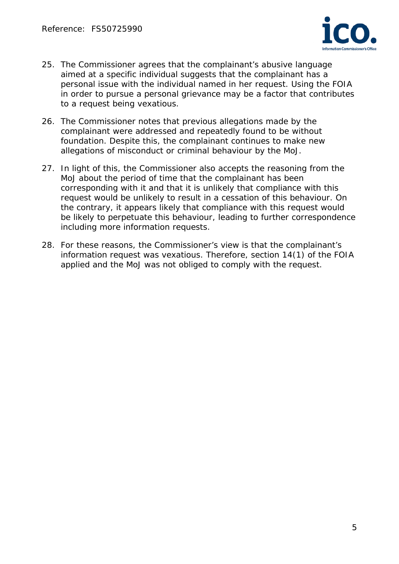

- 25. The Commissioner agrees that the complainant's abusive language aimed at a specific individual suggests that the complainant has a personal issue with the individual named in her request. Using the FOIA in order to pursue a personal grievance may be a factor that contributes to a request being vexatious.
- 26. The Commissioner notes that previous allegations made by the complainant were addressed and repeatedly found to be without foundation. Despite this, the complainant continues to make new allegations of misconduct or criminal behaviour by the MoJ.
- 27. In light of this, the Commissioner also accepts the reasoning from the MoJ about the period of time that the complainant has been corresponding with it and that it is unlikely that compliance with this request would be unlikely to result in a cessation of this behaviour. On the contrary, it appears likely that compliance with this request would be likely to perpetuate this behaviour, leading to further correspondence including more information requests.
- 28. For these reasons, the Commissioner's view is that the complainant's information request was vexatious. Therefore, section 14(1) of the FOIA applied and the MoJ was not obliged to comply with the request.